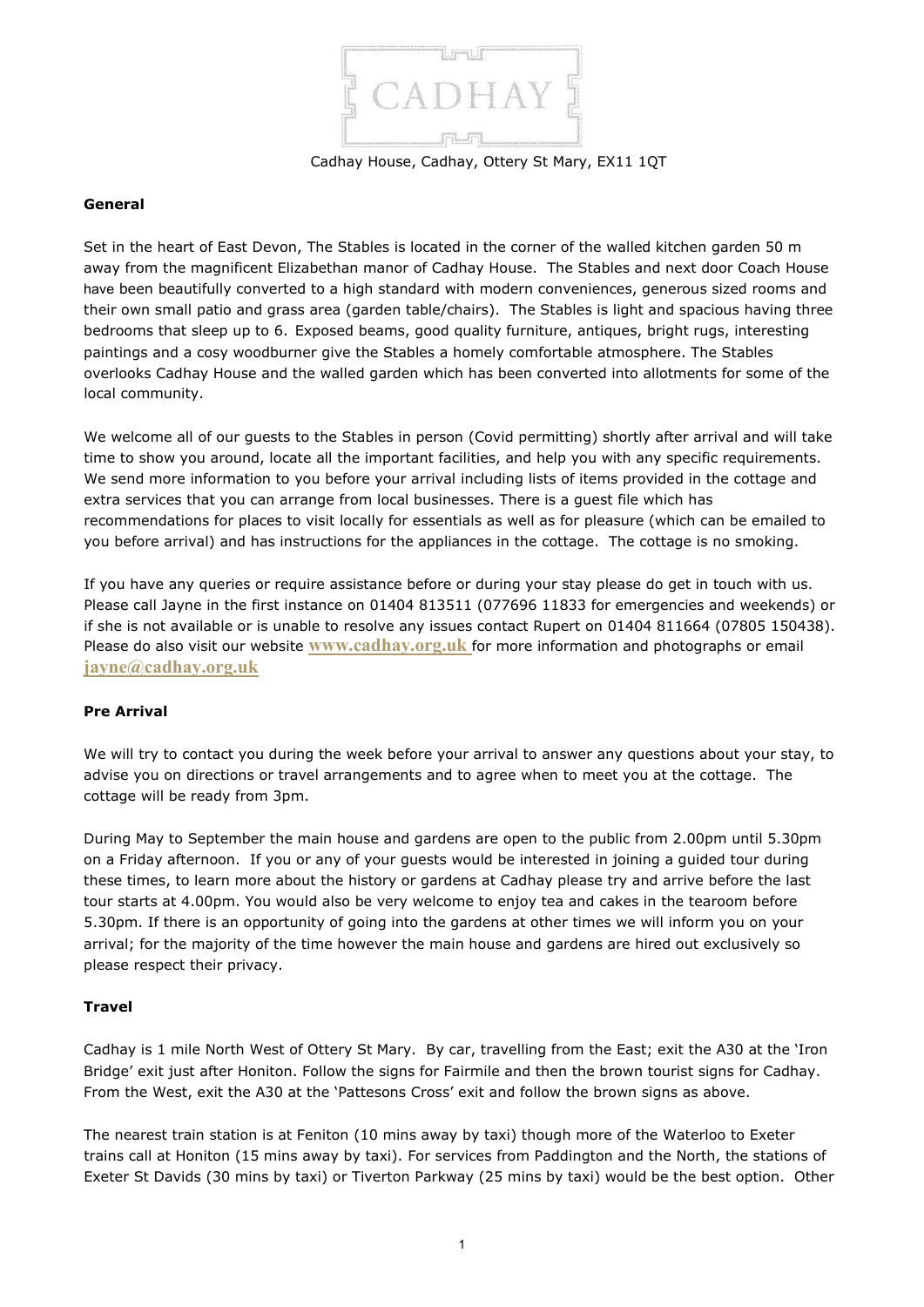

Cadhay House, Cadhay, Ottery St Mary, EX11 1QT

#### **General**

Set in the heart of East Devon, The Stables is located in the corner of the walled kitchen garden 50 m away from the magnificent Elizabethan manor of Cadhay House. The Stables and next door Coach House have been beautifully converted to a high standard with modern conveniences, generous sized rooms and their own small patio and grass area (garden table/chairs). The Stables is light and spacious having three bedrooms that sleep up to 6. Exposed beams, good quality furniture, antiques, bright rugs, interesting paintings and a cosy woodburner give the Stables a homely comfortable atmosphere. The Stables overlooks Cadhay House and the walled garden which has been converted into allotments for some of the local community.

We welcome all of our guests to the Stables in person (Covid permitting) shortly after arrival and will take time to show you around, locate all the important facilities, and help you with any specific requirements. We send more information to you before your arrival including lists of items provided in the cottage and extra services that you can arrange from local businesses. There is a guest file which has recommendations for places to visit locally for essentials as well as for pleasure (which can be emailed to you before arrival) and has instructions for the appliances in the cottage. The cottage is no smoking.

If you have any queries or require assistance before or during your stay please do get in touch with us. Please call Jayne in the first instance on 01404 813511 (077696 11833 for emergencies and weekends) or if she is not available or is unable to resolve any issues contact Rupert on 01404 811664 (07805 150438). Please do also visit our website **[www.cadhay.org.uk](http://www.cadhay.org.uk/)** for more information and photographs or email **[jayne@cadhay.org.uk](mailto:jayne@cadhay.org.uk)**

## **Pre Arrival**

We will try to contact you during the week before your arrival to answer any questions about your stay, to advise you on directions or travel arrangements and to agree when to meet you at the cottage. The cottage will be ready from 3pm.

During May to September the main house and gardens are open to the public from 2.00pm until 5.30pm on a Friday afternoon. If you or any of your guests would be interested in joining a guided tour during these times, to learn more about the history or gardens at Cadhay please try and arrive before the last tour starts at 4.00pm. You would also be very welcome to enjoy tea and cakes in the tearoom before 5.30pm. If there is an opportunity of going into the gardens at other times we will inform you on your arrival; for the majority of the time however the main house and gardens are hired out exclusively so please respect their privacy.

#### **Travel**

Cadhay is 1 mile North West of Ottery St Mary. By car, travelling from the East; exit the A30 at the 'Iron Bridge' exit just after Honiton. Follow the signs for Fairmile and then the brown tourist signs for Cadhay. From the West, exit the A30 at the 'Pattesons Cross' exit and follow the brown signs as above.

The nearest train station is at Feniton (10 mins away by taxi) though more of the Waterloo to Exeter trains call at Honiton (15 mins away by taxi). For services from Paddington and the North, the stations of Exeter St Davids (30 mins by taxi) or Tiverton Parkway (25 mins by taxi) would be the best option. Other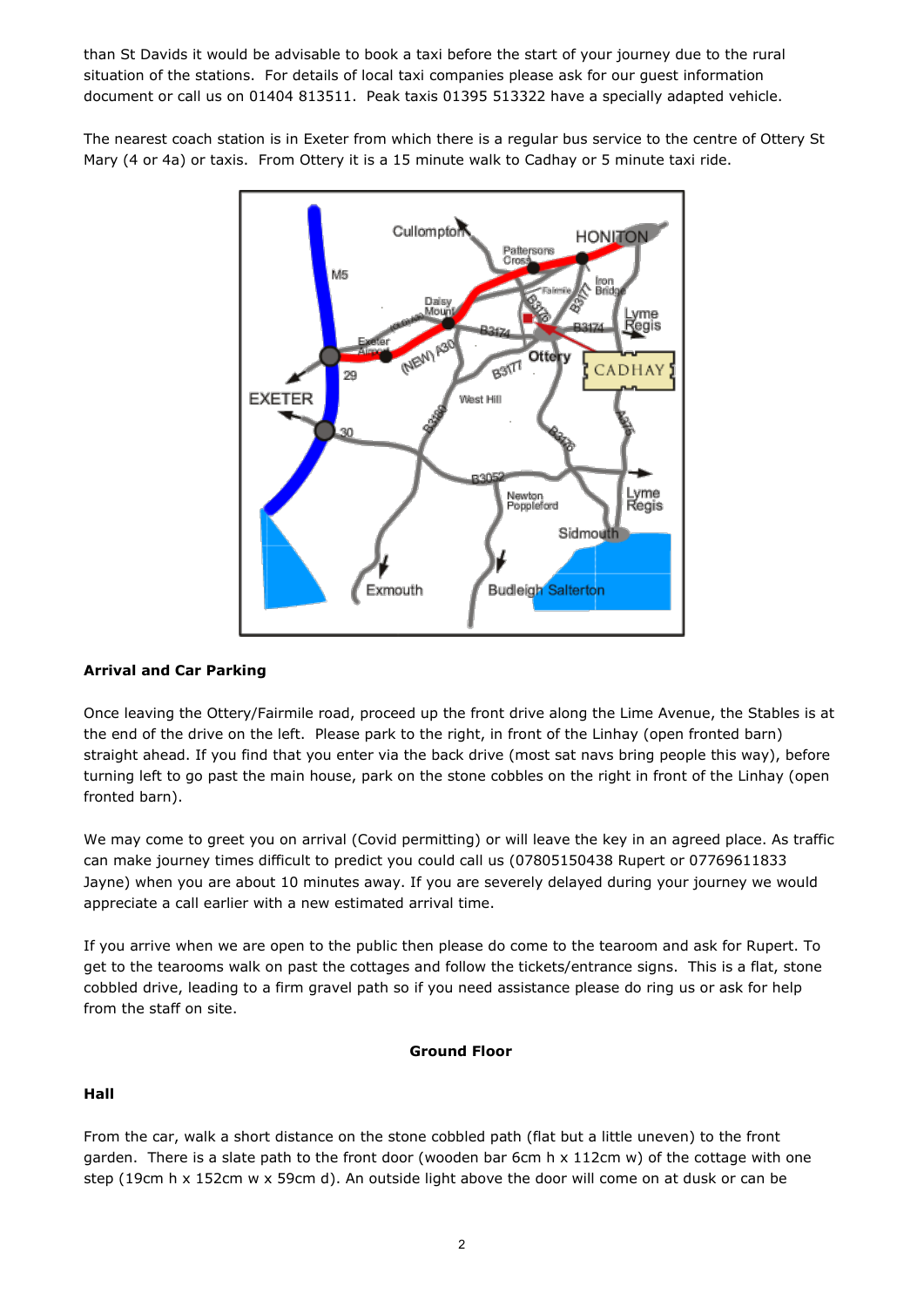than St Davids it would be advisable to book a taxi before the start of your journey due to the rural situation of the stations. For details of local taxi companies please ask for our guest information document or call us on 01404 813511. Peak taxis 01395 513322 have a specially adapted vehicle.

The nearest coach station is in Exeter from which there is a regular bus service to the centre of Ottery St Mary (4 or 4a) or taxis. From Ottery it is a 15 minute walk to Cadhay or 5 minute taxi ride.



## **Arrival and Car Parking**

Once leaving the Ottery/Fairmile road, proceed up the front drive along the Lime Avenue, the Stables is at the end of the drive on the left. Please park to the right, in front of the Linhay (open fronted barn) straight ahead. If you find that you enter via the back drive (most sat navs bring people this way), before turning left to go past the main house, park on the stone cobbles on the right in front of the Linhay (open fronted barn).

We may come to greet you on arrival (Covid permitting) or will leave the key in an agreed place. As traffic can make journey times difficult to predict you could call us (07805150438 Rupert or 07769611833 Jayne) when you are about 10 minutes away. If you are severely delayed during your journey we would appreciate a call earlier with a new estimated arrival time.

If you arrive when we are open to the public then please do come to the tearoom and ask for Rupert. To get to the tearooms walk on past the cottages and follow the tickets/entrance signs. This is a flat, stone cobbled drive, leading to a firm gravel path so if you need assistance please do ring us or ask for help from the staff on site.

#### **Ground Floor**

## **Hall**

From the car, walk a short distance on the stone cobbled path (flat but a little uneven) to the front garden. There is a slate path to the front door (wooden bar 6cm h x 112cm w) of the cottage with one step (19cm h x 152cm w x 59cm d). An outside light above the door will come on at dusk or can be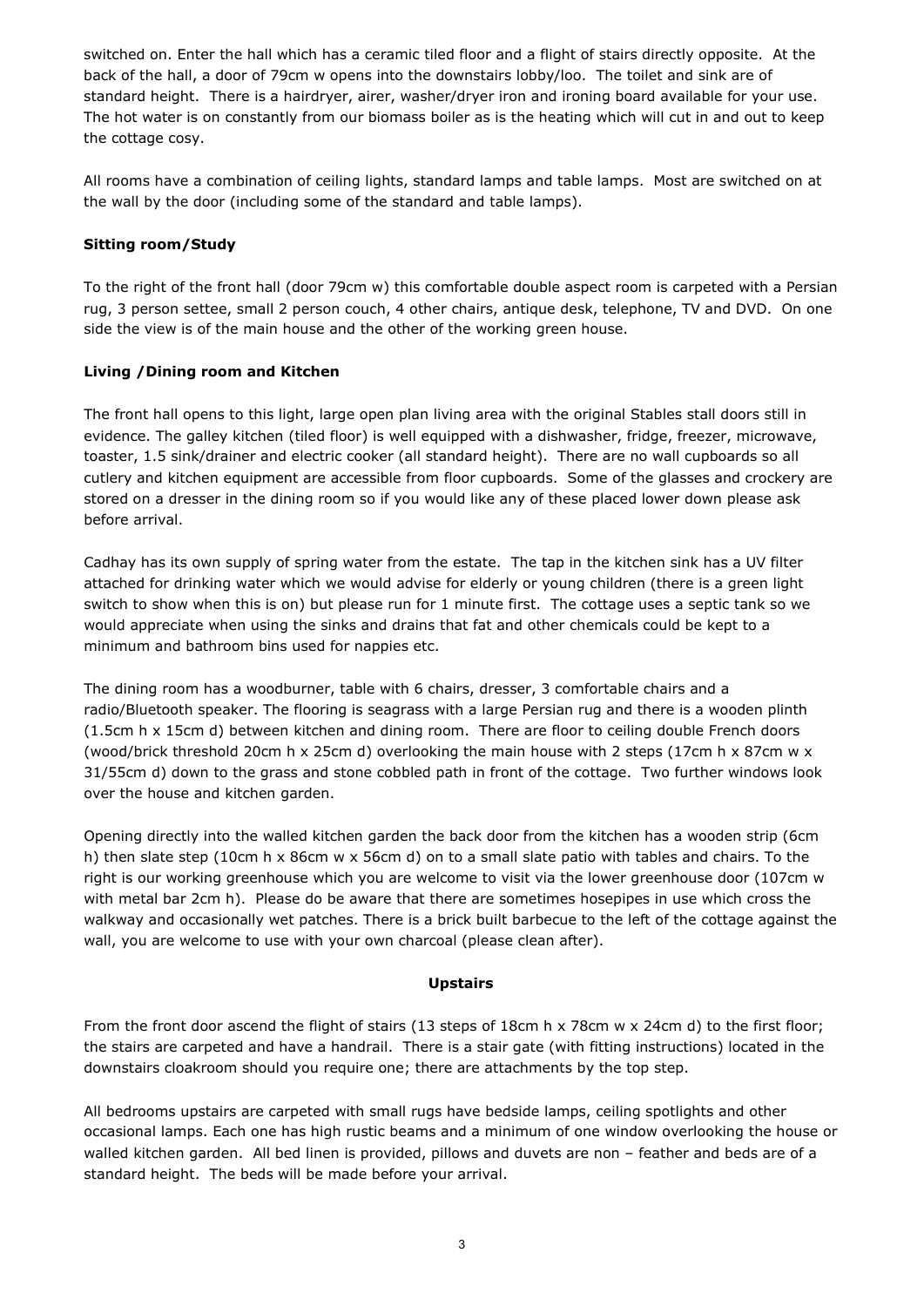switched on. Enter the hall which has a ceramic tiled floor and a flight of stairs directly opposite. At the back of the hall, a door of 79cm w opens into the downstairs lobby/loo. The toilet and sink are of standard height. There is a hairdryer, airer, washer/dryer iron and ironing board available for your use. The hot water is on constantly from our biomass boiler as is the heating which will cut in and out to keep the cottage cosy.

All rooms have a combination of ceiling lights, standard lamps and table lamps. Most are switched on at the wall by the door (including some of the standard and table lamps).

## **Sitting room/Study**

To the right of the front hall (door 79cm w) this comfortable double aspect room is carpeted with a Persian rug, 3 person settee, small 2 person couch, 4 other chairs, antique desk, telephone, TV and DVD. On one side the view is of the main house and the other of the working green house.

# **Living /Dining room and Kitchen**

The front hall opens to this light, large open plan living area with the original Stables stall doors still in evidence. The galley kitchen (tiled floor) is well equipped with a dishwasher, fridge, freezer, microwave, toaster, 1.5 sink/drainer and electric cooker (all standard height). There are no wall cupboards so all cutlery and kitchen equipment are accessible from floor cupboards. Some of the glasses and crockery are stored on a dresser in the dining room so if you would like any of these placed lower down please ask before arrival.

Cadhay has its own supply of spring water from the estate. The tap in the kitchen sink has a UV filter attached for drinking water which we would advise for elderly or young children (there is a green light switch to show when this is on) but please run for 1 minute first. The cottage uses a septic tank so we would appreciate when using the sinks and drains that fat and other chemicals could be kept to a minimum and bathroom bins used for nappies etc.

The dining room has a woodburner, table with 6 chairs, dresser, 3 comfortable chairs and a radio/Bluetooth speaker. The flooring is seagrass with a large Persian rug and there is a wooden plinth (1.5cm h x 15cm d) between kitchen and dining room. There are floor to ceiling double French doors (wood/brick threshold 20cm h x 25cm d) overlooking the main house with 2 steps (17cm h x 87cm w x 31/55cm d) down to the grass and stone cobbled path in front of the cottage. Two further windows look over the house and kitchen garden.

Opening directly into the walled kitchen garden the back door from the kitchen has a wooden strip (6cm h) then slate step (10cm h x 86cm w x 56cm d) on to a small slate patio with tables and chairs. To the right is our working greenhouse which you are welcome to visit via the lower greenhouse door (107cm w with metal bar 2cm h). Please do be aware that there are sometimes hosepipes in use which cross the walkway and occasionally wet patches. There is a brick built barbecue to the left of the cottage against the wall, you are welcome to use with your own charcoal (please clean after).

## **Upstairs**

From the front door ascend the flight of stairs (13 steps of 18cm h x 78cm w x 24cm d) to the first floor; the stairs are carpeted and have a handrail. There is a stair gate (with fitting instructions) located in the downstairs cloakroom should you require one; there are attachments by the top step.

All bedrooms upstairs are carpeted with small rugs have bedside lamps, ceiling spotlights and other occasional lamps. Each one has high rustic beams and a minimum of one window overlooking the house or walled kitchen garden. All bed linen is provided, pillows and duvets are non – feather and beds are of a standard height. The beds will be made before your arrival.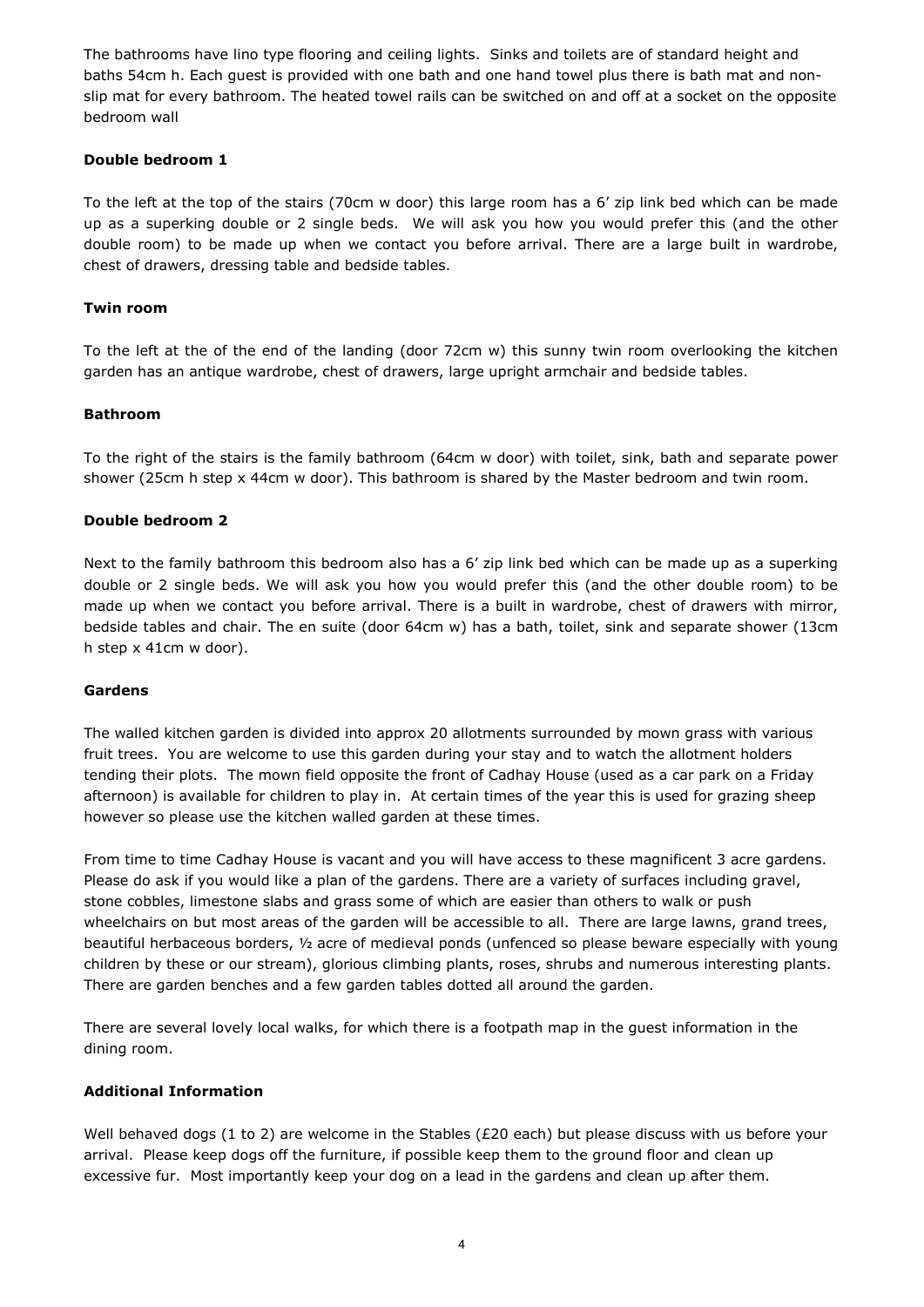The bathrooms have lino type flooring and ceiling lights. Sinks and toilets are of standard height and baths 54cm h. Each guest is provided with one bath and one hand towel plus there is bath mat and nonslip mat for every bathroom. The heated towel rails can be switched on and off at a socket on the opposite bedroom wall

## **Double bedroom 1**

To the left at the top of the stairs (70cm w door) this large room has a 6' zip link bed which can be made up as a superking double or 2 single beds. We will ask you how you would prefer this (and the other double room) to be made up when we contact you before arrival. There are a large built in wardrobe, chest of drawers, dressing table and bedside tables.

### **Twin room**

To the left at the of the end of the landing (door 72cm w) this sunny twin room overlooking the kitchen garden has an antique wardrobe, chest of drawers, large upright armchair and bedside tables.

### **Bathroom**

To the right of the stairs is the family bathroom (64cm w door) with toilet, sink, bath and separate power shower (25cm h step x 44cm w door). This bathroom is shared by the Master bedroom and twin room.

#### **Double bedroom 2**

Next to the family bathroom this bedroom also has a 6' zip link bed which can be made up as a superking double or 2 single beds. We will ask you how you would prefer this (and the other double room) to be made up when we contact you before arrival. There is a built in wardrobe, chest of drawers with mirror, bedside tables and chair. The en suite (door 64cm w) has a bath, toilet, sink and separate shower (13cm h step x 41cm w door).

#### **Gardens**

The walled kitchen garden is divided into approx 20 allotments surrounded by mown grass with various fruit trees. You are welcome to use this garden during your stay and to watch the allotment holders tending their plots. The mown field opposite the front of Cadhay House (used as a car park on a Friday afternoon) is available for children to play in. At certain times of the year this is used for grazing sheep however so please use the kitchen walled garden at these times.

From time to time Cadhay House is vacant and you will have access to these magnificent 3 acre gardens. Please do ask if you would like a plan of the gardens. There are a variety of surfaces including gravel, stone cobbles, limestone slabs and grass some of which are easier than others to walk or push wheelchairs on but most areas of the garden will be accessible to all. There are large lawns, grand trees, beautiful herbaceous borders, ½ acre of medieval ponds (unfenced so please beware especially with young children by these or our stream), glorious climbing plants, roses, shrubs and numerous interesting plants. There are garden benches and a few garden tables dotted all around the garden.

There are several lovely local walks, for which there is a footpath map in the guest information in the dining room.

#### **Additional Information**

Well behaved dogs (1 to 2) are welcome in the Stables (£20 each) but please discuss with us before your arrival. Please keep dogs off the furniture, if possible keep them to the ground floor and clean up excessive fur. Most importantly keep your dog on a lead in the gardens and clean up after them.